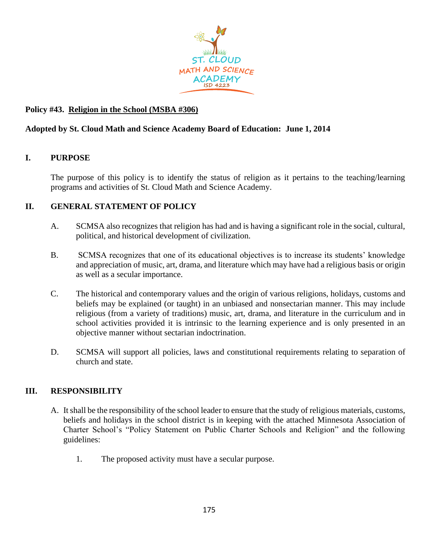

# **Policy #43. Religion in the School (MSBA #306)**

## **Adopted by St. Cloud Math and Science Academy Board of Education: June 1, 2014**

### **I. PURPOSE**

The purpose of this policy is to identify the status of religion as it pertains to the teaching/learning programs and activities of St. Cloud Math and Science Academy.

### **II. GENERAL STATEMENT OF POLICY**

- A. SCMSA also recognizes that religion has had and is having a significant role in the social, cultural, political, and historical development of civilization.
- B. SCMSA recognizes that one of its educational objectives is to increase its students' knowledge and appreciation of music, art, drama, and literature which may have had a religious basis or origin as well as a secular importance.
- C. The historical and contemporary values and the origin of various religions, holidays, customs and beliefs may be explained (or taught) in an unbiased and nonsectarian manner. This may include religious (from a variety of traditions) music, art, drama, and literature in the curriculum and in school activities provided it is intrinsic to the learning experience and is only presented in an objective manner without sectarian indoctrination.
- D. SCMSA will support all policies, laws and constitutional requirements relating to separation of church and state.

### **III. RESPONSIBILITY**

- A. It shall be the responsibility of the school leader to ensure that the study of religious materials, customs, beliefs and holidays in the school district is in keeping with the attached Minnesota Association of Charter School's "Policy Statement on Public Charter Schools and Religion" and the following guidelines:
	- 1. The proposed activity must have a secular purpose.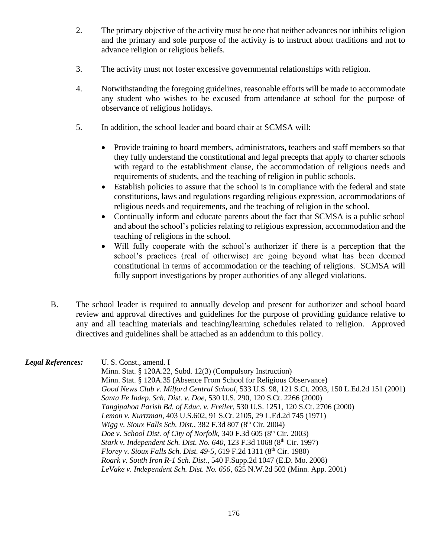- 2. The primary objective of the activity must be one that neither advances nor inhibits religion and the primary and sole purpose of the activity is to instruct about traditions and not to advance religion or religious beliefs.
- 3. The activity must not foster excessive governmental relationships with religion.
- 4. Notwithstanding the foregoing guidelines, reasonable efforts will be made to accommodate any student who wishes to be excused from attendance at school for the purpose of observance of religious holidays.
- 5. In addition, the school leader and board chair at SCMSA will:
	- Provide training to board members, administrators, teachers and staff members so that they fully understand the constitutional and legal precepts that apply to charter schools with regard to the establishment clause, the accommodation of religious needs and requirements of students, and the teaching of religion in public schools.
	- Establish policies to assure that the school is in compliance with the federal and state constitutions, laws and regulations regarding religious expression, accommodations of religious needs and requirements, and the teaching of religion in the school.
	- Continually inform and educate parents about the fact that SCMSA is a public school and about the school's policies relating to religious expression, accommodation and the teaching of religions in the school.
	- Will fully cooperate with the school's authorizer if there is a perception that the school's practices (real of otherwise) are going beyond what has been deemed constitutional in terms of accommodation or the teaching of religions. SCMSA will fully support investigations by proper authorities of any alleged violations.
- B. The school leader is required to annually develop and present for authorizer and school board review and approval directives and guidelines for the purpose of providing guidance relative to any and all teaching materials and teaching/learning schedules related to religion. Approved directives and guidelines shall be attached as an addendum to this policy.

*Legal References:* U. S. Const., amend. I Minn. Stat. § 120A.22, Subd. 12(3) (Compulsory Instruction) Minn. Stat. § 120A.35 (Absence From School for Religious Observance) *Good News Club v. Milford Central School*, 533 U.S. 98, 121 S.Ct. 2093, 150 L.Ed.2d 151 (2001) *Santa Fe Indep. Sch. Dist. v. Doe*, 530 U.S. 290, 120 S.Ct. 2266 (2000) *Tangipahoa Parish Bd. of Educ. v. Freiler*, 530 U.S. 1251, 120 S.Ct. 2706 (2000) *Lemon v. Kurtzman*, 403 U.S.602, 91 S.Ct. 2105, 29 L.Ed.2d 745 (1971) *Wigg v. Sioux Falls Sch. Dist.*, 382 F.3d 807 (8<sup>th</sup> Cir. 2004) *Doe v. School Dist. of City of Norfolk*, 340 F.3d 605 (8<sup>th</sup> Cir. 2003) *Stark v. Independent Sch. Dist. No. 640*, 123 F.3d 1068 (8th Cir. 1997) *Florey v. Sioux Falls Sch. Dist. 49-5, 619 F.2d 1311 (8<sup>th</sup> Cir. 1980) Roark v. South Iron R-1 Sch. Dist.*, 540 F.Supp.2d 1047 (E.D. Mo. 2008) *LeVake v. Independent Sch. Dist. No. 656*, 625 N.W.2d 502 (Minn. App. 2001)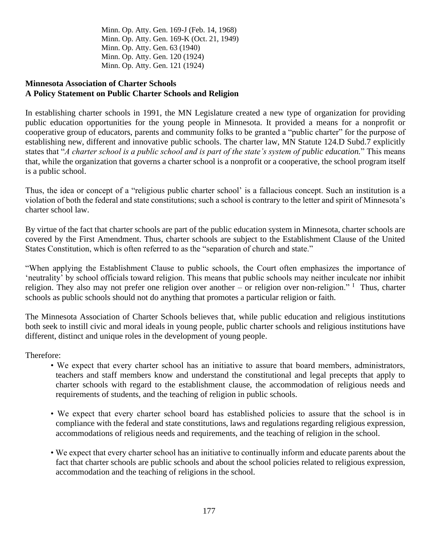Minn. Op. Atty. Gen. 169-J (Feb. 14, 1968) Minn. Op. Atty. Gen. 169-K (Oct. 21, 1949) Minn. Op. Atty. Gen. 63 (1940) Minn. Op. Atty. Gen. 120 (1924) Minn. Op. Atty. Gen. 121 (1924)

### **Minnesota Association of Charter Schools A Policy Statement on Public Charter Schools and Religion**

In establishing charter schools in 1991, the MN Legislature created a new type of organization for providing public education opportunities for the young people in Minnesota. It provided a means for a nonprofit or cooperative group of educators, parents and community folks to be granted a "public charter" for the purpose of establishing new, different and innovative public schools. The charter law, MN Statute 124.D Subd.7 explicitly states that "*A charter school is a public school and is part of the state's system of public education.*" This means that, while the organization that governs a charter school is a nonprofit or a cooperative, the school program itself is a public school.

Thus, the idea or concept of a "religious public charter school' is a fallacious concept. Such an institution is a violation of both the federal and state constitutions; such a school is contrary to the letter and spirit of Minnesota's charter school law.

By virtue of the fact that charter schools are part of the public education system in Minnesota, charter schools are covered by the First Amendment. Thus, charter schools are subject to the Establishment Clause of the United States Constitution, which is often referred to as the "separation of church and state."

"When applying the Establishment Clause to public schools, the Court often emphasizes the importance of 'neutrality' by school officials toward religion. This means that public schools may neither inculcate nor inhibit religion. They also may not prefer one religion over another – or religion over non-religion." I Thus, charter schools as public schools should not do anything that promotes a particular religion or faith.

The Minnesota Association of Charter Schools believes that, while public education and religious institutions both seek to instill civic and moral ideals in young people, public charter schools and religious institutions have different, distinct and unique roles in the development of young people.

Therefore:

- We expect that every charter school has an initiative to assure that board members, administrators, teachers and staff members know and understand the constitutional and legal precepts that apply to charter schools with regard to the establishment clause, the accommodation of religious needs and requirements of students, and the teaching of religion in public schools.
- We expect that every charter school board has established policies to assure that the school is in compliance with the federal and state constitutions, laws and regulations regarding religious expression, accommodations of religious needs and requirements, and the teaching of religion in the school.
- We expect that every charter school has an initiative to continually inform and educate parents about the fact that charter schools are public schools and about the school policies related to religious expression, accommodation and the teaching of religions in the school.